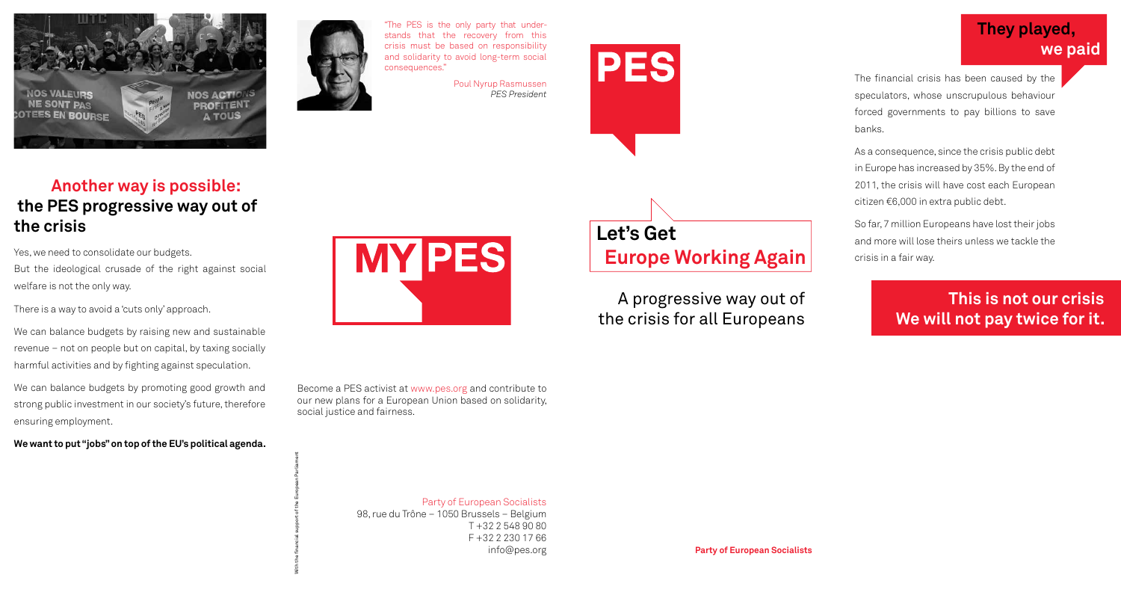



"The PES is the only party that understands that the recovery from this crisis must be based on responsibility and solidarity to avoid long-term social consequences."

> Poul Nyrup Rasmussen *PES President*



Party of European Socialists 98, rue du Trône – 1050 Brussels – Belgium T +32 2 548 90 80 F +32 2 230 17 66 info@pes.org

Become a PES activist at www.pes.org and contribute to our new plans for a European Union based on solidarity,

**MY PES** 

social justice and fairness.

With the financial support of the European Parliament

**Party of European Socialists**

# **Let's Get Europe Working Again**

A progressive way out of the crisis for all Europeans

The financial crisis has been caused by the speculators, whose unscrupulous behaviour forced governments to pay billions to save

banks.



As a consequence, since the crisis public debt in Europe has increased by 35%. By the end of 2011, the crisis will have cost each European citizen €6,000 in extra public debt.

So far, 7 million Europeans have lost their jobs and more will lose theirs unless we tackle the crisis in a fair way.

## **They played, we paid**

Yes, we need to consolidate our budgets.

But the ideological crusade of the right against social welfare is not the only way.

There is a way to avoid a 'cuts only' approach.

We can balance budgets by raising new and sustainable revenue – not on people but on capital, by taxing socially harmful activities and by fighting against speculation.

We can balance budgets by promoting good growth and strong public investment in our society's future, therefore ensuring employment.

**We want to put "jobs" on top of the EU's political agenda.**

#### **Another way is possible: the PES progressive way out of the crisis**

## **This is not our crisis We will not pay twice for it.**